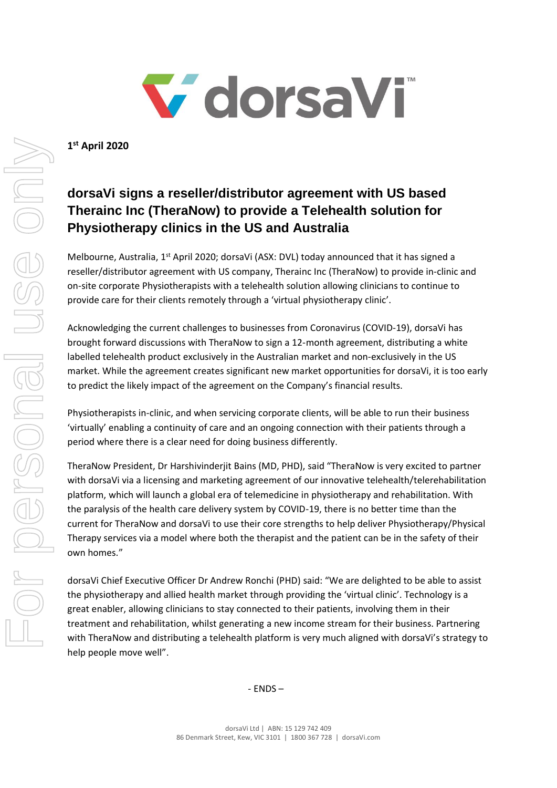

**1 st April 2020**

## **dorsaVi signs a reseller/distributor agreement with US based Therainc Inc (TheraNow) to provide a Telehealth solution for Physiotherapy clinics in the US and Australia**

Melbourne, Australia, 1<sup>st</sup> April 2020; dorsaVi (ASX: DVL) today announced that it has signed a reseller/distributor agreement with US company, Therainc Inc (TheraNow) to provide in-clinic and on-site corporate Physiotherapists with a telehealth solution allowing clinicians to continue to provide care for their clients remotely through a 'virtual physiotherapy clinic'.

Acknowledging the current challenges to businesses from Coronavirus (COVID-19), dorsaVi has brought forward discussions with TheraNow to sign a 12-month agreement, distributing a white labelled telehealth product exclusively in the Australian market and non-exclusively in the US market. While the agreement creates significant new market opportunities for dorsaVi, it is too early to predict the likely impact of the agreement on the Company's financial results.

Physiotherapists in-clinic, and when servicing corporate clients, will be able to run their business 'virtually' enabling a continuity of care and an ongoing connection with their patients through a period where there is a clear need for doing business differently.

TheraNow President, Dr Harshivinderjit Bains (MD, PHD), said "TheraNow is very excited to partner with dorsaVi via a licensing and marketing agreement of our innovative telehealth/telerehabilitation platform, which will launch a global era of telemedicine in physiotherapy and rehabilitation. With the paralysis of the health care delivery system by COVID-19, there is no better time than the current for TheraNow and dorsaVi to use their core strengths to help deliver Physiotherapy/Physical Therapy services via a model where both the therapist and the patient can be in the safety of their own homes."

dorsaVi Chief Executive Officer Dr Andrew Ronchi (PHD) said: "We are delighted to be able to assist the physiotherapy and allied health market through providing the 'virtual clinic'. Technology is a great enabler, allowing clinicians to stay connected to their patients, involving them in their treatment and rehabilitation, whilst generating a new income stream for their business. Partnering with TheraNow and distributing a telehealth platform is very much aligned with dorsaVi's strategy to help people move well".

- ENDS –